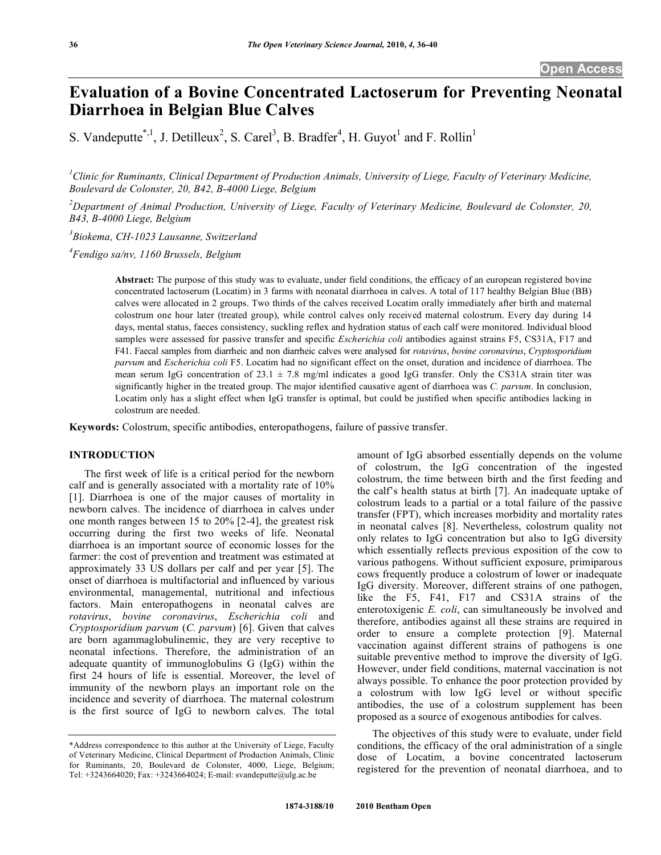# **Evaluation of a Bovine Concentrated Lactoserum for Preventing Neonatal Diarrhoea in Belgian Blue Calves**

S. Vandeputte<sup>\*,1</sup>, J. Detilleux<sup>2</sup>, S. Carel<sup>3</sup>, B. Bradfer<sup>4</sup>, H. Guyot<sup>1</sup> and F. Rollin<sup>1</sup>

<sup>1</sup> Clinic for Ruminants, Clinical Department of Production Animals, University of Liege, Faculty of Veterinary Medicine, *Boulevard de Colonster, 20, B42, B-4000 Liege, Belgium* 

*2 Department of Animal Production, University of Liege, Faculty of Veterinary Medicine, Boulevard de Colonster, 20, B43, B-4000 Liege, Belgium* 

*3 Biokema, CH-1023 Lausanne, Switzerland* 

*4 Fendigo sa/nv, 1160 Brussels, Belgium* 

**Abstract:** The purpose of this study was to evaluate, under field conditions, the efficacy of an european registered bovine concentrated lactoserum (Locatim) in 3 farms with neonatal diarrhoea in calves. A total of 117 healthy Belgian Blue (BB) calves were allocated in 2 groups. Two thirds of the calves received Locatim orally immediately after birth and maternal colostrum one hour later (treated group), while control calves only received maternal colostrum. Every day during 14 days, mental status, faeces consistency, suckling reflex and hydration status of each calf were monitored. Individual blood samples were assessed for passive transfer and specific *Escherichia coli* antibodies against strains F5, CS31A, F17 and F41. Faecal samples from diarrheic and non diarrheic calves were analysed for *rotavirus*, *bovine coronavirus*, *Cryptosporidium parvum* and *Escherichia coli* F5. Locatim had no significant effect on the onset, duration and incidence of diarrhoea. The mean serum IgG concentration of 23.1 ± 7.8 mg/ml indicates a good IgG transfer. Only the CS31A strain titer was significantly higher in the treated group. The major identified causative agent of diarrhoea was *C. parvum*. In conclusion, Locatim only has a slight effect when IgG transfer is optimal, but could be justified when specific antibodies lacking in colostrum are needed.

**Keywords:** Colostrum, specific antibodies, enteropathogens, failure of passive transfer.

# **INTRODUCTION**

 The first week of life is a critical period for the newborn calf and is generally associated with a mortality rate of 10% [1]. Diarrhoea is one of the major causes of mortality in newborn calves. The incidence of diarrhoea in calves under one month ranges between 15 to 20% [2-4], the greatest risk occurring during the first two weeks of life. Neonatal diarrhoea is an important source of economic losses for the farmer: the cost of prevention and treatment was estimated at approximately 33 US dollars per calf and per year [5]. The onset of diarrhoea is multifactorial and influenced by various environmental, managemental, nutritional and infectious factors. Main enteropathogens in neonatal calves are *rotavirus*, *bovine coronavirus*, *Escherichia coli* and *Cryptosporidium parvum* (*C. parvum*) [6]. Given that calves are born agammaglobulinemic, they are very receptive to neonatal infections. Therefore, the administration of an adequate quantity of immunoglobulins G (IgG) within the first 24 hours of life is essential. Moreover, the level of immunity of the newborn plays an important role on the incidence and severity of diarrhoea. The maternal colostrum is the first source of IgG to newborn calves. The total amount of IgG absorbed essentially depends on the volume of colostrum, the IgG concentration of the ingested colostrum, the time between birth and the first feeding and the calf's health status at birth [7]. An inadequate uptake of colostrum leads to a partial or a total failure of the passive transfer (FPT), which increases morbidity and mortality rates in neonatal calves [8]. Nevertheless, colostrum quality not only relates to IgG concentration but also to IgG diversity which essentially reflects previous exposition of the cow to various pathogens. Without sufficient exposure, primiparous cows frequently produce a colostrum of lower or inadequate IgG diversity. Moreover, different strains of one pathogen, like the F5, F41, F17 and CS31A strains of the enterotoxigenic *E. coli*, can simultaneously be involved and therefore, antibodies against all these strains are required in order to ensure a complete protection [9]. Maternal vaccination against different strains of pathogens is one suitable preventive method to improve the diversity of IgG. However, under field conditions, maternal vaccination is not always possible. To enhance the poor protection provided by a colostrum with low IgG level or without specific antibodies, the use of a colostrum supplement has been proposed as a source of exogenous antibodies for calves.

 The objectives of this study were to evaluate, under field conditions, the efficacy of the oral administration of a single dose of Locatim, a bovine concentrated lactoserum registered for the prevention of neonatal diarrhoea, and to

<sup>\*</sup>Address correspondence to this author at the University of Liege, Faculty of Veterinary Medicine, Clinical Department of Production Animals, Clinic for Ruminants, 20, Boulevard de Colonster, 4000, Liege, Belgium; Tel: +3243664020; Fax: +3243664024; E-mail: svandeputte@ulg.ac.be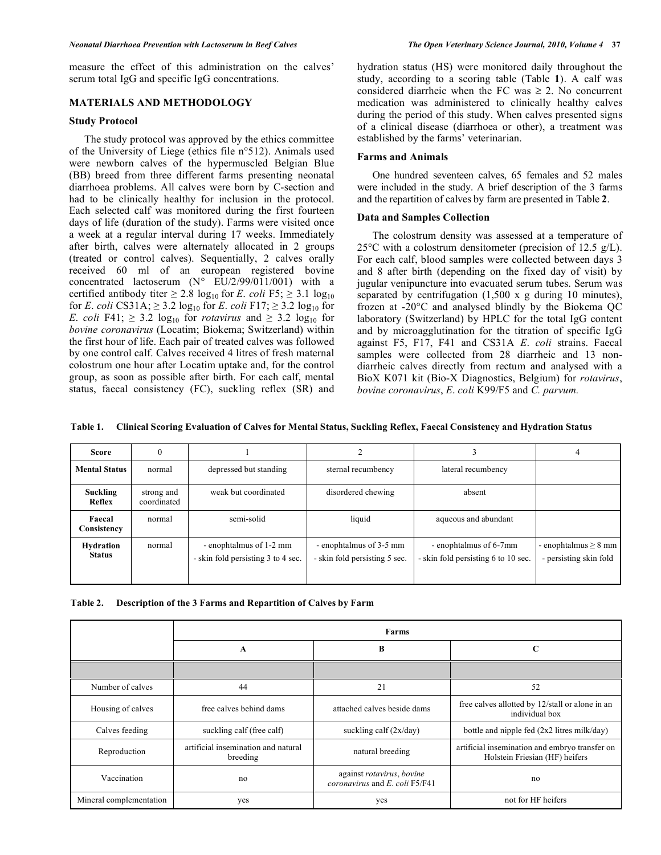measure the effect of this administration on the calves' serum total IgG and specific IgG concentrations.

# **MATERIALS AND METHODOLOGY**

### **Study Protocol**

 The study protocol was approved by the ethics committee of the University of Liege (ethics file n°512). Animals used were newborn calves of the hypermuscled Belgian Blue (BB) breed from three different farms presenting neonatal diarrhoea problems. All calves were born by C-section and had to be clinically healthy for inclusion in the protocol. Each selected calf was monitored during the first fourteen days of life (duration of the study). Farms were visited once a week at a regular interval during 17 weeks. Immediately after birth, calves were alternately allocated in 2 groups (treated or control calves). Sequentially, 2 calves orally received 60 ml of an european registered bovine concentrated lactoserum (N° EU/2/99/011/001) with a certified antibody titer  $\geq 2.8 \log_{10}$  for *E. coli* F5;  $\geq 3.1 \log_{10}$ for *E*. *coli* CS31A;  $\geq$  3.2 log<sub>10</sub> for *E*. *coli* F17;  $\geq$  3.2 log<sub>10</sub> for *E*. *coli* F41;  $\geq$  3.2 log<sub>10</sub> for *rotavirus* and  $\geq$  3.2 log<sub>10</sub> for *bovine coronavirus* (Locatim; Biokema; Switzerland) within the first hour of life. Each pair of treated calves was followed by one control calf. Calves received 4 litres of fresh maternal colostrum one hour after Locatim uptake and, for the control group, as soon as possible after birth. For each calf, mental status, faecal consistency (FC), suckling reflex (SR) and

hydration status (HS) were monitored daily throughout the study, according to a scoring table (Table **1**). A calf was considered diarrheic when the FC was  $\geq$  2. No concurrent medication was administered to clinically healthy calves during the period of this study. When calves presented signs of a clinical disease (diarrhoea or other), a treatment was established by the farms' veterinarian.

# **Farms and Animals**

 One hundred seventeen calves, 65 females and 52 males were included in the study. A brief description of the 3 farms and the repartition of calves by farm are presented in Table **2**.

### **Data and Samples Collection**

 The colostrum density was assessed at a temperature of 25 $\degree$ C with a colostrum densitometer (precision of 12.5 g/L). For each calf, blood samples were collected between days 3 and 8 after birth (depending on the fixed day of visit) by jugular venipuncture into evacuated serum tubes. Serum was separated by centrifugation (1,500 x g during 10 minutes), frozen at -20°C and analysed blindly by the Biokema QC laboratory (Switzerland) by HPLC for the total IgG content and by microagglutination for the titration of specific IgG against F5, F17, F41 and CS31A *E*. *coli* strains. Faecal samples were collected from 28 diarrheic and 13 nondiarrheic calves directly from rectum and analysed with a BioX K071 kit (Bio-X Diagnostics, Belgium) for *rotavirus*, *bovine coronavirus*, *E*. *coli* K99/F5 and *C. parvum.*

**Table 1. Clinical Scoring Evaluation of Calves for Mental Status, Suckling Reflex, Faecal Consistency and Hydration Status** 

| <b>Score</b>               |                                                   |                                                               |                                                          |                                                               |                                                     |
|----------------------------|---------------------------------------------------|---------------------------------------------------------------|----------------------------------------------------------|---------------------------------------------------------------|-----------------------------------------------------|
| <b>Mental Status</b>       | depressed but standing<br>normal                  |                                                               | sternal recumbency                                       | lateral recumbency                                            |                                                     |
| <b>Suckling</b><br>Reflex  | weak but coordinated<br>strong and<br>coordinated |                                                               | disordered chewing                                       | absent                                                        |                                                     |
| Faecal<br>Consistency      | normal                                            | semi-solid                                                    | liquid                                                   | aqueous and abundant                                          |                                                     |
| Hydration<br><b>Status</b> | normal                                            | - enophtalmus of 1-2 mm<br>- skin fold persisting 3 to 4 sec. | - enophtalmus of 3-5 mm<br>- skin fold persisting 5 sec. | - enophtalmus of 6-7mm<br>- skin fold persisting 6 to 10 sec. | - enophtalmus $\geq 8$ mm<br>- persisting skin fold |

| Table 2. Description of the 3 Farms and Repartition of Calves by Farm |
|-----------------------------------------------------------------------|
|                                                                       |

|                         | <b>Farms</b>                                    |                                                             |                                                                                  |  |
|-------------------------|-------------------------------------------------|-------------------------------------------------------------|----------------------------------------------------------------------------------|--|
|                         | A                                               | B                                                           | C                                                                                |  |
|                         |                                                 |                                                             |                                                                                  |  |
| Number of calves        | 44                                              | 21                                                          | 52                                                                               |  |
| Housing of calves       | free calves behind dams                         | attached calves beside dams                                 | free calves allotted by 12/stall or alone in an<br>individual box                |  |
| Calves feeding          | suckling calf (free calf)                       | suckling calf $(2x/day)$                                    | bottle and nipple fed $(2x2$ litres milk/day)                                    |  |
| Reproduction            | artificial insemination and natural<br>breeding | natural breeding                                            | artificial insemination and embryo transfer on<br>Holstein Friesian (HF) heifers |  |
| Vaccination             | no                                              | against rotavirus, bovine<br>coronavirus and E. coli F5/F41 | no                                                                               |  |
| Mineral complementation | yes                                             | yes                                                         | not for HF heifers                                                               |  |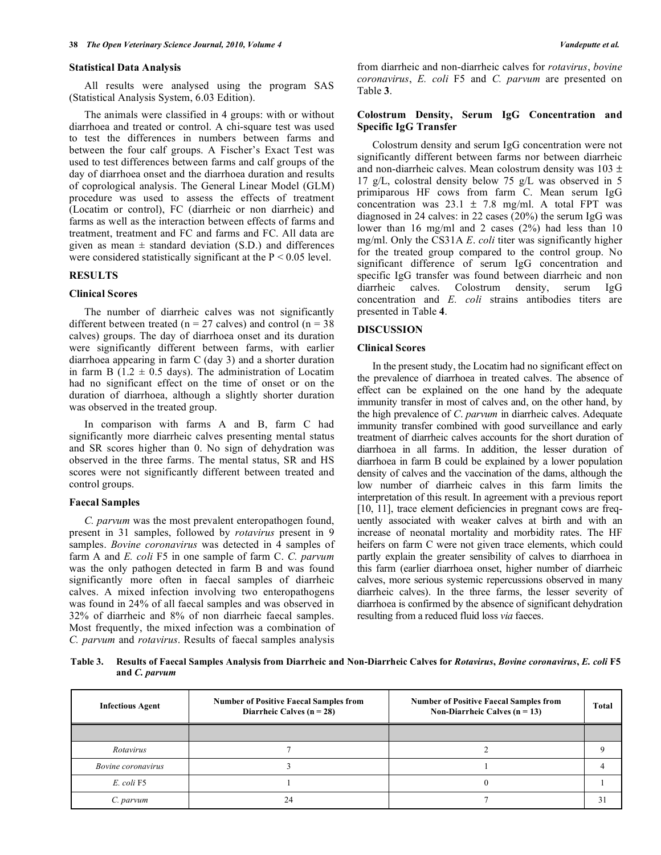#### **Statistical Data Analysis**

 All results were analysed using the program SAS (Statistical Analysis System, 6.03 Edition).

 The animals were classified in 4 groups: with or without diarrhoea and treated or control. A chi-square test was used to test the differences in numbers between farms and between the four calf groups. A Fischer's Exact Test was used to test differences between farms and calf groups of the day of diarrhoea onset and the diarrhoea duration and results of coprological analysis. The General Linear Model (GLM) procedure was used to assess the effects of treatment (Locatim or control), FC (diarrheic or non diarrheic) and farms as well as the interaction between effects of farms and treatment, treatment and FC and farms and FC. All data are given as mean  $\pm$  standard deviation (S.D.) and differences were considered statistically significant at the  $P < 0.05$  level.

# **RESULTS**

# **Clinical Scores**

 The number of diarrheic calves was not significantly different between treated ( $n = 27$  calves) and control ( $n = 38$ ) calves) groups. The day of diarrhoea onset and its duration were significantly different between farms, with earlier diarrhoea appearing in farm C (day 3) and a shorter duration in farm B ( $1.2 \pm 0.5$  days). The administration of Locatim had no significant effect on the time of onset or on the duration of diarrhoea, although a slightly shorter duration was observed in the treated group.

 In comparison with farms A and B, farm C had significantly more diarrheic calves presenting mental status and SR scores higher than 0. No sign of dehydration was observed in the three farms. The mental status, SR and HS scores were not significantly different between treated and control groups.

### **Faecal Samples**

 *C. parvum* was the most prevalent enteropathogen found, present in 31 samples, followed by *rotavirus* present in 9 samples. *Bovine coronavirus* was detected in 4 samples of farm A and *E. coli* F5 in one sample of farm C. *C. parvum* was the only pathogen detected in farm B and was found significantly more often in faecal samples of diarrheic calves. A mixed infection involving two enteropathogens was found in 24% of all faecal samples and was observed in 32% of diarrheic and 8% of non diarrheic faecal samples. Most frequently, the mixed infection was a combination of *C. parvum* and *rotavirus*. Results of faecal samples analysis

from diarrheic and non-diarrheic calves for *rotavirus*, *bovine coronavirus*, *E. coli* F5 and *C. parvum* are presented on Table **3**.

# **Colostrum Density, Serum IgG Concentration and Specific IgG Transfer**

 Colostrum density and serum IgG concentration were not significantly different between farms nor between diarrheic and non-diarrheic calves. Mean colostrum density was 103 ± 17 g/L, colostral density below 75 g/L was observed in 5 primiparous HF cows from farm C. Mean serum IgG concentration was  $23.1 \pm 7.8$  mg/ml. A total FPT was diagnosed in 24 calves: in 22 cases (20%) the serum IgG was lower than 16 mg/ml and 2 cases (2%) had less than 10 mg/ml. Only the CS31A *E*. *coli* titer was significantly higher for the treated group compared to the control group. No significant difference of serum IgG concentration and specific IgG transfer was found between diarrheic and non diarrheic calves. Colostrum density, serum IgG concentration and *E. coli* strains antibodies titers are presented in Table **4**.

### **DISCUSSION**

### **Clinical Scores**

 In the present study, the Locatim had no significant effect on the prevalence of diarrhoea in treated calves. The absence of effect can be explained on the one hand by the adequate immunity transfer in most of calves and, on the other hand, by the high prevalence of *C*. *parvum* in diarrheic calves. Adequate immunity transfer combined with good surveillance and early treatment of diarrheic calves accounts for the short duration of diarrhoea in all farms. In addition, the lesser duration of diarrhoea in farm B could be explained by a lower population density of calves and the vaccination of the dams, although the low number of diarrheic calves in this farm limits the interpretation of this result. In agreement with a previous report [10, 11], trace element deficiencies in pregnant cows are frequently associated with weaker calves at birth and with an increase of neonatal mortality and morbidity rates. The HF heifers on farm C were not given trace elements, which could partly explain the greater sensibility of calves to diarrhoea in this farm (earlier diarrhoea onset, higher number of diarrheic calves, more serious systemic repercussions observed in many diarrheic calves). In the three farms, the lesser severity of diarrhoea is confirmed by the absence of significant dehydration resulting from a reduced fluid loss *via* faeces.

**Table 3. Results of Faecal Samples Analysis from Diarrheic and Non-Diarrheic Calves for** *Rotavirus***,** *Bovine coronavirus***,** *E. coli* **F5 and** *C. parvum*

| <b>Infectious Agent</b>   | <b>Number of Positive Faecal Samples from</b><br>Diarrheic Calves ( $n = 28$ ) | <b>Number of Positive Faecal Samples from</b><br>Non-Diarrheic Calves $(n = 13)$ | Total |
|---------------------------|--------------------------------------------------------------------------------|----------------------------------------------------------------------------------|-------|
|                           |                                                                                |                                                                                  |       |
| Rotavirus                 |                                                                                |                                                                                  |       |
| <i>Bovine coronavirus</i> |                                                                                |                                                                                  |       |
| E. coli F5                |                                                                                |                                                                                  |       |
| C. parvum                 | 24                                                                             |                                                                                  |       |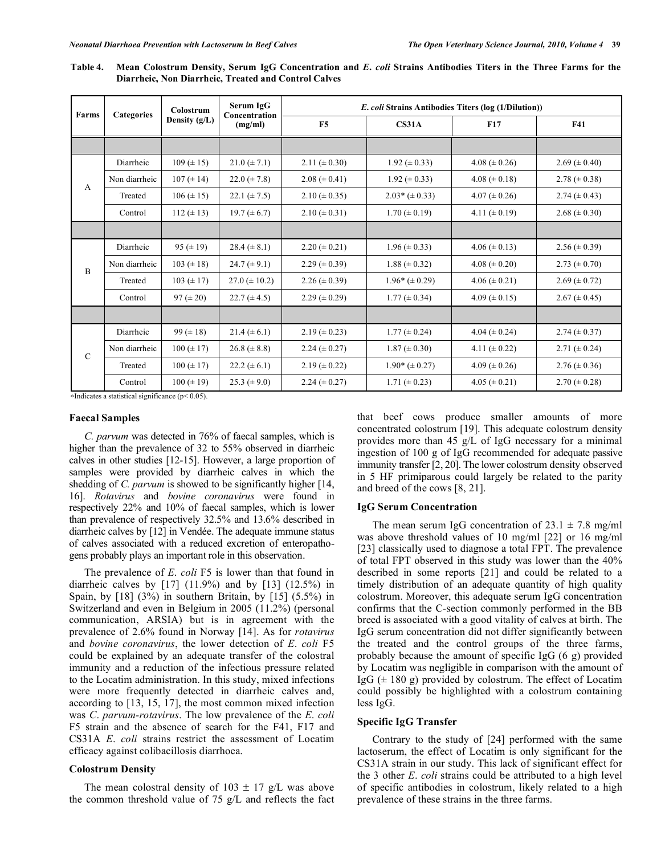| Farms       | <b>Categories</b> | Colostrum<br>Density (g/L) | Serum IgG<br>Concentration<br>(mg/ml) | <i>E. coli</i> Strains Antibodies Titers (log (1/Dilution)) |                     |                     |                     |
|-------------|-------------------|----------------------------|---------------------------------------|-------------------------------------------------------------|---------------------|---------------------|---------------------|
|             |                   |                            |                                       | F <sub>5</sub>                                              | CS31A               | <b>F17</b>          | <b>F41</b>          |
|             |                   |                            |                                       |                                                             |                     |                     |                     |
| A           | Diarrheic         | $109 (\pm 15)$             | $21.0 \ (\pm 7.1)$                    | $2.11 \ (\pm 0.30)$                                         | $1.92 \ (\pm 0.33)$ | $4.08 (\pm 0.26)$   | $2.69 \ (\pm 0.40)$ |
|             | Non diarrheic     | $107 (\pm 14)$             | $22.0 \ (\pm 7.8)$                    | $2.08 (\pm 0.41)$                                           | $1.92 \ (\pm 0.33)$ | $4.08 (\pm 0.18)$   | 2.78 ( $\pm$ 0.38)  |
|             | Treated           | $106 (\pm 15)$             | $22.1 (\pm 7.5)$                      | $2.10 \ (\pm 0.35)$                                         | $2.03*(\pm 0.33)$   | $4.07 (\pm 0.26)$   | $2.74 \ (\pm 0.43)$ |
|             | Control           | $112 (\pm 13)$             | $19.7 (\pm 6.7)$                      | $2.10 \ (\pm 0.31)$                                         | $1.70 \ (\pm 0.19)$ | $4.11 (\pm 0.19)$   | $2.68 \ (\pm 0.30)$ |
|             |                   |                            |                                       |                                                             |                     |                     |                     |
| B           | Diarrheic         | 95 $(\pm 19)$              | $28.4 (\pm 8.1)$                      | $2.20 \ (\pm 0.21)$                                         | $1.96 \ (\pm 0.33)$ | $4.06 (\pm 0.13)$   | $2.56 \ (\pm 0.39)$ |
|             | Non diarrheic     | $103 (\pm 18)$             | $24.7 (\pm 9.1)$                      | $2.29 \ (\pm 0.39)$                                         | $1.88 (\pm 0.32)$   | $4.08 (\pm 0.20)$   | $2.73 \ (\pm 0.70)$ |
|             | Treated           | $103 (\pm 17)$             | $27.0 \ (\pm 10.2)$                   | $2.26 (\pm 0.39)$                                           | $1.96*(\pm 0.29)$   | $4.06 (\pm 0.21)$   | $2.69 \ (\pm 0.72)$ |
|             | Control           | $97 (\pm 20)$              | $22.7 (\pm 4.5)$                      | $2.29 \ (\pm 0.29)$                                         | $1.77 (\pm 0.34)$   | $4.09 \ (\pm 0.15)$ | $2.67 \ (\pm 0.45)$ |
|             |                   |                            |                                       |                                                             |                     |                     |                     |
| $\mathbf C$ | Diarrheic         | 99 $(\pm 18)$              | $21.4 (\pm 6.1)$                      | $2.19 \ (\pm 0.23)$                                         | $1.77 (\pm 0.24)$   | 4.04 ( $\pm$ 0.24)  | $2.74 \ (\pm 0.37)$ |
|             | Non diarrheic     | $100 (\pm 17)$             | $26.8 (\pm 8.8)$                      | $2.24 (\pm 0.27)$                                           | $1.87 \ (\pm 0.30)$ | 4.11 ( $\pm$ 0.22)  | 2.71 ( $\pm$ 0.24)  |
|             | Treated           | $100 (\pm 17)$             | $22.2 (\pm 6.1)$                      | $2.19 \ (\pm 0.22)$                                         | $1.90*(\pm 0.27)$   | $4.09 \ (\pm 0.26)$ | $2.76 \ (\pm 0.36)$ |
|             | Control           | $100 (\pm 19)$             | $25.3 (\pm 9.0)$                      | $2.24 (\pm 0.27)$                                           | $1.71 (\pm 0.23)$   | $4.05 (\pm 0.21)$   | $2.70 \ (\pm 0.28)$ |

**Table 4. Mean Colostrum Density, Serum IgG Concentration and** *E***.** *coli* **Strains Antibodies Titers in the Three Farms for the Diarrheic, Non Diarrheic, Treated and Control Calves** 

 $*$ Indicates a statistical significance (p< 0.05).

#### **Faecal Samples**

 *C. parvum* was detected in 76% of faecal samples, which is higher than the prevalence of 32 to 55% observed in diarrheic calves in other studies [12-15]. However, a large proportion of samples were provided by diarrheic calves in which the shedding of *C. parvum* is showed to be significantly higher [14, 16]. *Rotavirus* and *bovine coronavirus* were found in respectively 22% and 10% of faecal samples, which is lower than prevalence of respectively 32.5% and 13.6% described in diarrheic calves by [12] in Vendée. The adequate immune status of calves associated with a reduced excretion of enteropathogens probably plays an important role in this observation.

 The prevalence of *E*. *coli* F5 is lower than that found in diarrheic calves by  $[17]$   $(11.9\%)$  and by  $[13]$   $(12.5\%)$  in Spain, by  $[18]$   $(3%)$  in southern Britain, by  $[15]$   $(5.5%)$  in Switzerland and even in Belgium in 2005 (11.2%) (personal communication, ARSIA) but is in agreement with the prevalence of 2.6% found in Norway [14]. As for *rotavirus* and *bovine coronavirus*, the lower detection of *E*. *coli* F5 could be explained by an adequate transfer of the colostral immunity and a reduction of the infectious pressure related to the Locatim administration. In this study, mixed infections were more frequently detected in diarrheic calves and, according to [13, 15, 17], the most common mixed infection was *C*. *parvum-rotavirus*. The low prevalence of the *E*. *coli* F5 strain and the absence of search for the F41, F17 and CS31A *E*. *coli* strains restrict the assessment of Locatim efficacy against colibacillosis diarrhoea.

### **Colostrum Density**

The mean colostral density of  $103 \pm 17$  g/L was above the common threshold value of 75 g/L and reflects the fact that beef cows produce smaller amounts of more concentrated colostrum [19]. This adequate colostrum density provides more than 45 g/L of IgG necessary for a minimal ingestion of 100 g of IgG recommended for adequate passive immunity transfer [2, 20]. The lower colostrum density observed in 5 HF primiparous could largely be related to the parity and breed of the cows [8, 21].

### **IgG Serum Concentration**

The mean serum IgG concentration of  $23.1 \pm 7.8$  mg/ml was above threshold values of 10 mg/ml [22] or 16 mg/ml [23] classically used to diagnose a total FPT. The prevalence of total FPT observed in this study was lower than the 40% described in some reports [21] and could be related to a timely distribution of an adequate quantity of high quality colostrum. Moreover, this adequate serum IgG concentration confirms that the C-section commonly performed in the BB breed is associated with a good vitality of calves at birth. The IgG serum concentration did not differ significantly between the treated and the control groups of the three farms, probably because the amount of specific IgG (6 g) provided by Locatim was negligible in comparison with the amount of IgG  $(\pm 180 \text{ g})$  provided by colostrum. The effect of Locatim could possibly be highlighted with a colostrum containing less IgG.

# **Specific IgG Transfer**

 Contrary to the study of [24] performed with the same lactoserum, the effect of Locatim is only significant for the CS31A strain in our study. This lack of significant effect for the 3 other *E*. *coli* strains could be attributed to a high level of specific antibodies in colostrum, likely related to a high prevalence of these strains in the three farms.